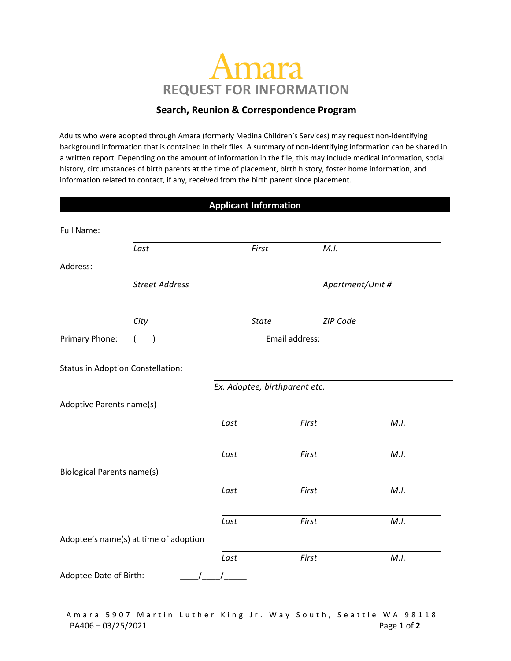# Amara **REQUEST FOR INFORMATION**

## **Search, Reunion & Correspondence Program**

Adults who were adopted through Amara (formerly Medina Children's Services) may request non-identifying background information that is contained in their files. A summary of non-identifying information can be shared in a written report. Depending on the amount of information in the file, this may include medical information, social history, circumstances of birth parents at the time of placement, birth history, foster home information, and information related to contact, if any, received from the birth parent since placement.

|                                          |                                       | <b>Applicant Information</b> |                               |                  |      |
|------------------------------------------|---------------------------------------|------------------------------|-------------------------------|------------------|------|
| <b>Full Name:</b>                        |                                       |                              |                               |                  |      |
|                                          | Last                                  |                              | First                         | M.I.             |      |
| Address:                                 |                                       |                              |                               |                  |      |
|                                          | <b>Street Address</b>                 |                              |                               | Apartment/Unit # |      |
|                                          | City                                  |                              | <b>State</b>                  | ZIP Code         |      |
| Primary Phone:                           | $\mathcal{E}$                         |                              | Email address:                |                  |      |
| <b>Status in Adoption Constellation:</b> |                                       |                              |                               |                  |      |
| Adoptive Parents name(s)                 |                                       |                              | Ex. Adoptee, birthparent etc. |                  |      |
|                                          |                                       | Last                         | First                         |                  | M.I. |
|                                          |                                       | Last                         | First                         |                  | M.I. |
| <b>Biological Parents name(s)</b>        |                                       |                              |                               |                  |      |
|                                          |                                       | Last                         | First                         |                  | M.I. |
|                                          |                                       | Last                         | First                         |                  | M.I. |
|                                          | Adoptee's name(s) at time of adoption |                              |                               |                  |      |
|                                          |                                       | Last                         | First                         |                  | M.I. |
| Adoptee Date of Birth:                   |                                       |                              |                               |                  |      |